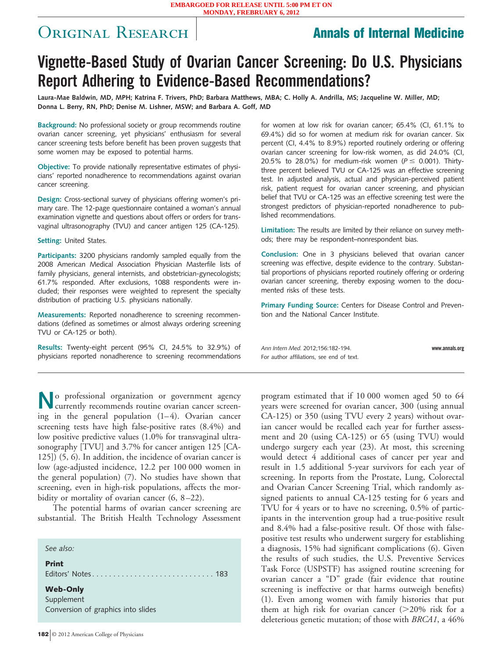# Original Research **Annals of Internal Medicine**

# **Vignette-Based Study of Ovarian Cancer Screening: Do U.S. Physicians Report Adhering to Evidence-Based Recommendations?**

**Laura-Mae Baldwin, MD, MPH; Katrina F. Trivers, PhD; Barbara Matthews, MBA; C. Holly A. Andrilla, MS; Jacqueline W. Miller, MD; Donna L. Berry, RN, PhD; Denise M. Lishner, MSW; and Barbara A. Goff, MD**

**Background:** No professional society or group recommends routine ovarian cancer screening, yet physicians' enthusiasm for several cancer screening tests before benefit has been proven suggests that some women may be exposed to potential harms.

**Objective:** To provide nationally representative estimates of physicians' reported nonadherence to recommendations against ovarian cancer screening.

**Design:** Cross-sectional survey of physicians offering women's primary care. The 12-page questionnaire contained a woman's annual examination vignette and questions about offers or orders for transvaginal ultrasonography (TVU) and cancer antigen 125 (CA-125).

**Setting:** United States.

**Participants:** 3200 physicians randomly sampled equally from the 2008 American Medical Association Physician Masterfile lists of family physicians, general internists, and obstetrician-gynecologists; 61.7% responded. After exclusions, 1088 respondents were included; their responses were weighted to represent the specialty distribution of practicing U.S. physicians nationally.

**Measurements:** Reported nonadherence to screening recommendations (defined as sometimes or almost always ordering screening TVU or CA-125 or both).

**Results:** Twenty-eight percent (95% CI, 24.5% to 32.9%) of physicians reported nonadherence to screening recommendations

No professional organization or government agency<br>currently recommends routine ovarian cancer screening in the general population (1–4). Ovarian cancer screening tests have high false-positive rates (8.4%) and low positive predictive values (1.0% for transvaginal ultrasonography [TVU] and 3.7% for cancer antigen 125 [CA-125]) (5, 6). In addition, the incidence of ovarian cancer is low (age-adjusted incidence, 12.2 per 100 000 women in the general population) (7). No studies have shown that screening, even in high-risk populations, affects the morbidity or mortality of ovarian cancer  $(6, 8-22)$ .

The potential harms of ovarian cancer screening are substantial. The British Health Technology Assessment

*See also:* **Print** Editors' Notes. . . . . . . . . . . . . . . . . . . . . . . . . . . . . 183 **Web-Only** Supplement Conversion of graphics into slides

for women at low risk for ovarian cancer; 65.4% (CI, 61.1% to 69.4%) did so for women at medium risk for ovarian cancer. Six percent (CI, 4.4% to 8.9%) reported routinely ordering or offering ovarian cancer screening for low-risk women, as did 24.0% (CI, 20.5% to 28.0%) for medium-risk women ( $P \le 0.001$ ). Thirtythree percent believed TVU or CA-125 was an effective screening test. In adjusted analysis, actual and physician-perceived patient risk, patient request for ovarian cancer screening, and physician belief that TVU or CA-125 was an effective screening test were the strongest predictors of physician-reported nonadherence to published recommendations.

**Limitation:** The results are limited by their reliance on survey methods; there may be respondent–nonrespondent bias.

**Conclusion:** One in 3 physicians believed that ovarian cancer screening was effective, despite evidence to the contrary. Substantial proportions of physicians reported routinely offering or ordering ovarian cancer screening, thereby exposing women to the documented risks of these tests.

**Primary Funding Source:** Centers for Disease Control and Prevention and the National Cancer Institute.

*Ann Intern Med.* 2012;156:182-194. **www.annals.org** For author affiliations, see end of text.

program estimated that if 10 000 women aged 50 to 64 years were screened for ovarian cancer, 300 (using annual CA-125) or 350 (using TVU every 2 years) without ovarian cancer would be recalled each year for further assessment and 20 (using CA-125) or 65 (using TVU) would undergo surgery each year (23). At most, this screening would detect 4 additional cases of cancer per year and result in 1.5 additional 5-year survivors for each year of screening. In reports from the Prostate, Lung, Colorectal and Ovarian Cancer Screening Trial, which randomly assigned patients to annual CA-125 testing for 6 years and TVU for 4 years or to have no screening, 0.5% of participants in the intervention group had a true-positive result and 8.4% had a false-positive result. Of those with falsepositive test results who underwent surgery for establishing a diagnosis, 15% had significant complications (6). Given the results of such studies, the U.S. Preventive Services Task Force (USPSTF) has assigned routine screening for ovarian cancer a "D" grade (fair evidence that routine screening is ineffective or that harms outweigh benefits) (1). Even among women with family histories that put them at high risk for ovarian cancer  $(>20\%$  risk for a deleterious genetic mutation; of those with *BRCA1*, a 46%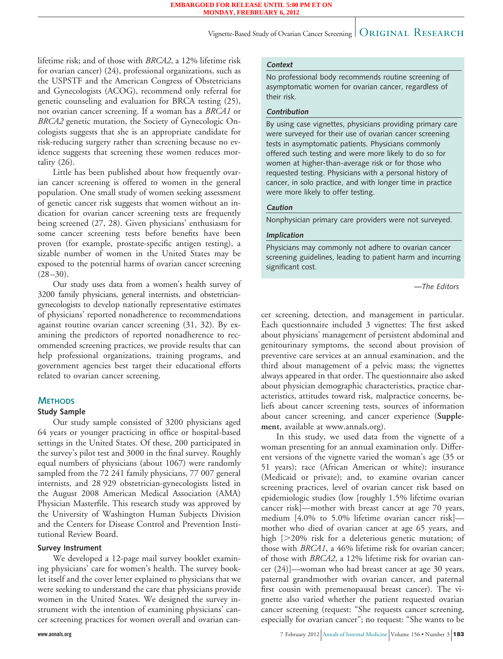# Vignette-Based Study of Ovarian Cancer Screening | ORIGINAL RESEARCH

lifetime risk; and of those with *BRCA2*, a 12% lifetime risk for ovarian cancer) (24), professional organizations, such as the USPSTF and the American Congress of Obstetricians and Gynecologists (ACOG), recommend only referral for genetic counseling and evaluation for BRCA testing (25), not ovarian cancer screening. If a woman has a *BRCA1* or *BRCA2* genetic mutation, the Society of Gynecologic Oncologists suggests that she is an appropriate candidate for risk-reducing surgery rather than screening because no evidence suggests that screening these women reduces mortality (26).

Little has been published about how frequently ovarian cancer screening is offered to women in the general population. One small study of women seeking assessment of genetic cancer risk suggests that women without an indication for ovarian cancer screening tests are frequently being screened (27, 28). Given physicians' enthusiasm for some cancer screening tests before benefits have been proven (for example, prostate-specific antigen testing), a sizable number of women in the United States may be exposed to the potential harms of ovarian cancer screening  $(28-30)$ .

Our study uses data from a women's health survey of 3200 family physicians, general internists, and obstetriciangynecologists to develop nationally representative estimates of physicians' reported nonadherence to recommendations against routine ovarian cancer screening (31, 32). By examining the predictors of reported nonadherence to recommended screening practices, we provide results that can help professional organizations, training programs, and government agencies best target their educational efforts related to ovarian cancer screening.

#### **METHODS**

#### **Study Sample**

Our study sample consisted of 3200 physicians aged 64 years or younger practicing in office or hospital-based settings in the United States. Of these, 200 participated in the survey's pilot test and 3000 in the final survey. Roughly equal numbers of physicians (about 1067) were randomly sampled from the 72 241 family physicians, 77 007 general internists, and 28 929 obstetrician-gynecologists listed in the August 2008 American Medical Association (AMA) Physician Masterfile. This research study was approved by the University of Washington Human Subjects Division and the Centers for Disease Control and Prevention Institutional Review Board.

#### **Survey Instrument**

We developed a 12-page mail survey booklet examining physicians' care for women's health. The survey booklet itself and the cover letter explained to physicians that we were seeking to understand the care that physicians provide women in the United States. We designed the survey instrument with the intention of examining physicians' cancer screening practices for women overall and ovarian can-

#### **Context**

No professional body recommends routine screening of asymptomatic women for ovarian cancer, regardless of their risk.

#### **Contribution**

By using case vignettes, physicians providing primary care were surveyed for their use of ovarian cancer screening tests in asymptomatic patients. Physicians commonly offered such testing and were more likely to do so for women at higher-than-average risk or for those who requested testing. Physicians with a personal history of cancer, in solo practice, and with longer time in practice were more likely to offer testing.

#### **Caution**

Nonphysician primary care providers were not surveyed.

#### **Implication**

Physicians may commonly not adhere to ovarian cancer screening guidelines, leading to patient harm and incurring significant cost.

*—The Editors*

cer screening, detection, and management in particular. Each questionnaire included 3 vignettes: The first asked about physicians' management of persistent abdominal and genitourinary symptoms, the second about provision of preventive care services at an annual examination, and the third about management of a pelvic mass; the vignettes always appeared in that order. The questionnaire also asked about physician demographic characteristics, practice characteristics, attitudes toward risk, malpractice concerns, beliefs about cancer screening tests, sources of information about cancer screening, and cancer experience (**Supplement**, available at www.annals.org).

In this study, we used data from the vignette of a woman presenting for an annual examination only. Different versions of the vignette varied the woman's age (35 or 51 years); race (African American or white); insurance (Medicaid or private); and, to examine ovarian cancer screening practices, level of ovarian cancer risk based on epidemiologic studies (low [roughly 1.5% lifetime ovarian cancer risk]—mother with breast cancer at age 70 years, medium [4.0% to 5.0% lifetime ovarian cancer risk] mother who died of ovarian cancer at age 65 years, and high [>20% risk for a deleterious genetic mutation; of those with *BRCA1*, a 46% lifetime risk for ovarian cancer; of those with *BRCA2*, a 12% lifetime risk for ovarian cancer (24)]—woman who had breast cancer at age 30 years, paternal grandmother with ovarian cancer, and paternal first cousin with premenopausal breast cancer). The vignette also varied whether the patient requested ovarian cancer screening (request: "She requests cancer screening, especially for ovarian cancer"; no request: "She wants to be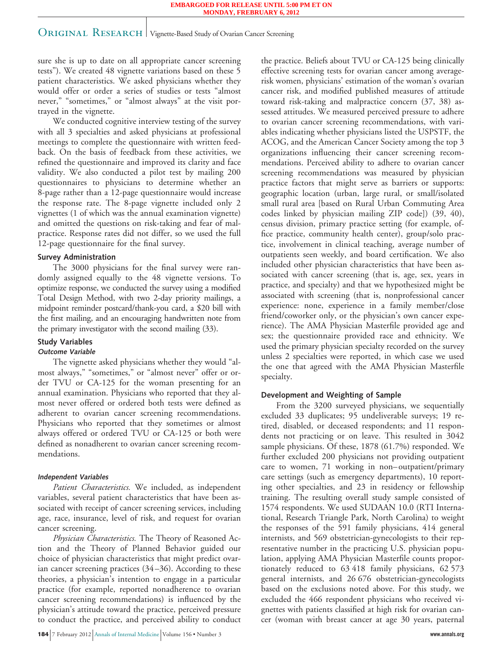#### ORIGINAL RESEARCH Vignette-Based Study of Ovarian Cancer Screening

sure she is up to date on all appropriate cancer screening tests"). We created 48 vignette variations based on these 5 patient characteristics. We asked physicians whether they would offer or order a series of studies or tests "almost never," "sometimes," or "almost always" at the visit portrayed in the vignette.

We conducted cognitive interview testing of the survey with all 3 specialties and asked physicians at professional meetings to complete the questionnaire with written feedback. On the basis of feedback from these activities, we refined the questionnaire and improved its clarity and face validity. We also conducted a pilot test by mailing 200 questionnaires to physicians to determine whether an 8-page rather than a 12-page questionnaire would increase the response rate. The 8-page vignette included only 2 vignettes (1 of which was the annual examination vignette) and omitted the questions on risk-taking and fear of malpractice. Response rates did not differ, so we used the full 12-page questionnaire for the final survey.

#### **Survey Administration**

The 3000 physicians for the final survey were randomly assigned equally to the 48 vignette versions. To optimize response, we conducted the survey using a modified Total Design Method, with two 2-day priority mailings, a midpoint reminder postcard/thank-you card, a \$20 bill with the first mailing, and an encouraging handwritten note from the primary investigator with the second mailing (33).

# **Study Variables**

#### **Outcome Variable**

The vignette asked physicians whether they would "almost always," "sometimes," or "almost never" offer or order TVU or CA-125 for the woman presenting for an annual examination. Physicians who reported that they almost never offered or ordered both tests were defined as adherent to ovarian cancer screening recommendations. Physicians who reported that they sometimes or almost always offered or ordered TVU or CA-125 or both were defined as nonadherent to ovarian cancer screening recommendations.

#### **Independent Variables**

*Patient Characteristics.* We included, as independent variables, several patient characteristics that have been associated with receipt of cancer screening services, including age, race, insurance, level of risk, and request for ovarian cancer screening.

*Physician Characteristics.* The Theory of Reasoned Action and the Theory of Planned Behavior guided our choice of physician characteristics that might predict ovarian cancer screening practices (34–36). According to these theories, a physician's intention to engage in a particular practice (for example, reported nonadherence to ovarian cancer screening recommendations) is influenced by the physician's attitude toward the practice, perceived pressure to conduct the practice, and perceived ability to conduct

**184** 7 February 2012 Annals of Internal Medicine Volume 156 • Number 3 **www.annals.org**

the practice. Beliefs about TVU or CA-125 being clinically effective screening tests for ovarian cancer among averagerisk women, physicians' estimation of the woman's ovarian cancer risk, and modified published measures of attitude toward risk-taking and malpractice concern (37, 38) assessed attitudes. We measured perceived pressure to adhere to ovarian cancer screening recommendations, with variables indicating whether physicians listed the USPSTF, the ACOG, and the American Cancer Society among the top 3 organizations influencing their cancer screening recommendations. Perceived ability to adhere to ovarian cancer screening recommendations was measured by physician practice factors that might serve as barriers or supports: geographic location (urban, large rural, or small/isolated small rural area [based on Rural Urban Commuting Area codes linked by physician mailing ZIP code]) (39, 40), census division, primary practice setting (for example, office practice, community health center), group/solo practice, involvement in clinical teaching, average number of outpatients seen weekly, and board certification. We also included other physician characteristics that have been associated with cancer screening (that is, age, sex, years in practice, and specialty) and that we hypothesized might be associated with screening (that is, nonprofessional cancer experience: none, experience in a family member/close friend/coworker only, or the physician's own cancer experience). The AMA Physician Masterfile provided age and sex; the questionnaire provided race and ethnicity. We used the primary physician specialty recorded on the survey unless 2 specialties were reported, in which case we used the one that agreed with the AMA Physician Masterfile specialty.

#### **Development and Weighting of Sample**

From the 3200 surveyed physicians, we sequentially excluded 33 duplicates; 95 undeliverable surveys; 19 retired, disabled, or deceased respondents; and 11 respondents not practicing or on leave. This resulted in 3042 sample physicians. Of these, 1878 (61.7%) responded. We further excluded 200 physicians not providing outpatient care to women, 71 working in non–outpatient/primary care settings (such as emergency departments), 10 reporting other specialties, and 23 in residency or fellowship training. The resulting overall study sample consisted of 1574 respondents. We used SUDAAN 10.0 (RTI International, Research Triangle Park, North Carolina) to weight the responses of the 591 family physicians, 414 general internists, and 569 obstetrician-gynecologists to their representative number in the practicing U.S. physician population, applying AMA Physician Masterfile counts proportionately reduced to 63 418 family physicians, 62 573 general internists, and 26 676 obstetrician-gynecologists based on the exclusions noted above. For this study, we excluded the 466 respondent physicians who received vignettes with patients classified at high risk for ovarian cancer (woman with breast cancer at age 30 years, paternal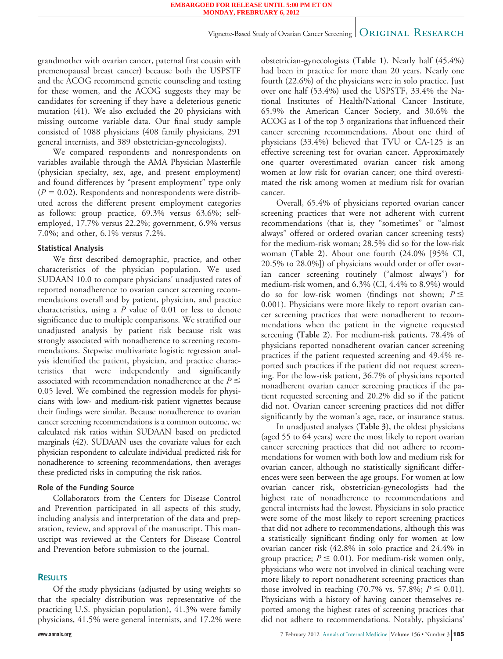grandmother with ovarian cancer, paternal first cousin with premenopausal breast cancer) because both the USPSTF and the ACOG recommend genetic counseling and testing for these women, and the ACOG suggests they may be candidates for screening if they have a deleterious genetic mutation (41). We also excluded the 20 physicians with missing outcome variable data. Our final study sample consisted of 1088 physicians (408 family physicians, 291 general internists, and 389 obstetrician-gynecologists).

We compared respondents and nonrespondents on variables available through the AMA Physician Masterfile (physician specialty, sex, age, and present employment) and found differences by "present employment" type only  $(P = 0.02)$ . Respondents and nonrespondents were distributed across the different present employment categories as follows: group practice, 69.3% versus 63.6%; selfemployed, 17.7% versus 22.2%; government, 6.9% versus 7.0%; and other, 6.1% versus 7.2%.

#### **Statistical Analysis**

We first described demographic, practice, and other characteristics of the physician population. We used SUDAAN 10.0 to compare physicians' unadjusted rates of reported nonadherence to ovarian cancer screening recommendations overall and by patient, physician, and practice characteristics, using a *P* value of 0.01 or less to denote significance due to multiple comparisons. We stratified our unadjusted analysis by patient risk because risk was strongly associated with nonadherence to screening recommendations. Stepwise multivariate logistic regression analysis identified the patient, physician, and practice characteristics that were independently and significantly associated with recommendation nonadherence at the  $P \leq$ 0.05 level. We combined the regression models for physicians with low- and medium-risk patient vignettes because their findings were similar. Because nonadherence to ovarian cancer screening recommendations is a common outcome, we calculated risk ratios within SUDAAN based on predicted marginals (42). SUDAAN uses the covariate values for each physician respondent to calculate individual predicted risk for nonadherence to screening recommendations, then averages these predicted risks in computing the risk ratios.

#### **Role of the Funding Source**

Collaborators from the Centers for Disease Control and Prevention participated in all aspects of this study, including analysis and interpretation of the data and preparation, review, and approval of the manuscript. This manuscript was reviewed at the Centers for Disease Control and Prevention before submission to the journal.

#### **RESULTS**

Of the study physicians (adjusted by using weights so that the specialty distribution was representative of the practicing U.S. physician population), 41.3% were family physicians, 41.5% were general internists, and 17.2% were

obstetrician-gynecologists (**Table 1**). Nearly half (45.4%) had been in practice for more than 20 years. Nearly one fourth (22.6%) of the physicians were in solo practice. Just over one half (53.4%) used the USPSTF, 33.4% the National Institutes of Health/National Cancer Institute, 65.9% the American Cancer Society, and 30.6% the ACOG as 1 of the top 3 organizations that influenced their cancer screening recommendations. About one third of physicians (33.4%) believed that TVU or CA-125 is an effective screening test for ovarian cancer. Approximately one quarter overestimated ovarian cancer risk among women at low risk for ovarian cancer; one third overestimated the risk among women at medium risk for ovarian cancer.

Overall, 65.4% of physicians reported ovarian cancer screening practices that were not adherent with current recommendations (that is, they "sometimes" or "almost always" offered or ordered ovarian cancer screening tests) for the medium-risk woman; 28.5% did so for the low-risk woman (**Table 2**). About one fourth (24.0% [95% CI, 20.5% to 28.0%]) of physicians would order or offer ovarian cancer screening routinely ("almost always") for medium-risk women, and 6.3% (CI, 4.4% to 8.9%) would do so for low-risk women (findings not shown;  $P \leq$ 0.001). Physicians were more likely to report ovarian cancer screening practices that were nonadherent to recommendations when the patient in the vignette requested screening (**Table 2**). For medium-risk patients, 78.4% of physicians reported nonadherent ovarian cancer screening practices if the patient requested screening and 49.4% reported such practices if the patient did not request screening. For the low-risk patient, 36.7% of physicians reported nonadherent ovarian cancer screening practices if the patient requested screening and 20.2% did so if the patient did not. Ovarian cancer screening practices did not differ significantly by the woman's age, race, or insurance status.

In unadjusted analyses (**Table 3**), the oldest physicians (aged 55 to 64 years) were the most likely to report ovarian cancer screening practices that did not adhere to recommendations for women with both low and medium risk for ovarian cancer, although no statistically significant differences were seen between the age groups. For women at low ovarian cancer risk, obstetrician-gynecologists had the highest rate of nonadherence to recommendations and general internists had the lowest. Physicians in solo practice were some of the most likely to report screening practices that did not adhere to recommendations, although this was a statistically significant finding only for women at low ovarian cancer risk (42.8% in solo practice and 24.4% in group practice;  $P \leq 0.01$ ). For medium-risk women only, physicians who were not involved in clinical teaching were more likely to report nonadherent screening practices than those involved in teaching (70.7% vs. 57.8%;  $P \le 0.01$ ). Physicians with a history of having cancer themselves reported among the highest rates of screening practices that did not adhere to recommendations. Notably, physicians'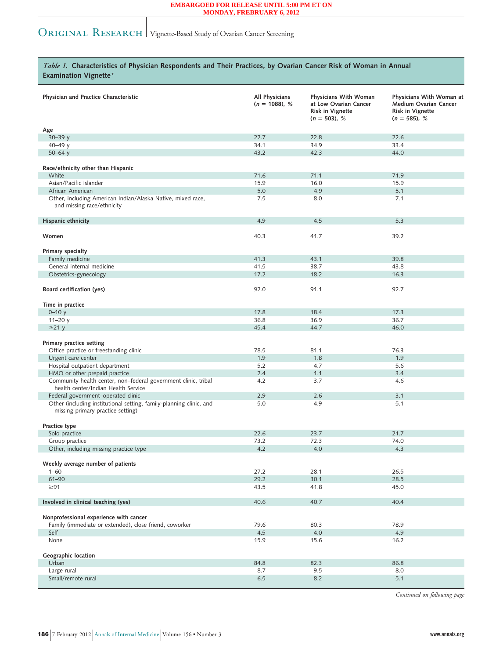# ORIGINAL RESEARCH Vignette-Based Study of Ovarian Cancer Screening

#### *Table 1.* **Characteristics of Physician Respondents and Their Practices, by Ovarian Cancer Risk of Woman in Annual Examination Vignette\***

| Physician and Practice Characteristic                                                                    | All Physicians<br>$(n = 1088), %$ | Physicians With Woman<br>at Low Ovarian Cancer<br>Risk in Vignette<br>$(n = 503)$ , % | Physicians With Woman at<br>Medium Ovarian Cancer<br>Risk in Vignette<br>$(n = 585)$ , % |
|----------------------------------------------------------------------------------------------------------|-----------------------------------|---------------------------------------------------------------------------------------|------------------------------------------------------------------------------------------|
|                                                                                                          |                                   |                                                                                       |                                                                                          |
| Age<br>$30 - 39y$                                                                                        | 22.7                              | 22.8                                                                                  | 22.6                                                                                     |
| 40 $-49y$                                                                                                | 34.1                              | 34.9                                                                                  | 33.4                                                                                     |
|                                                                                                          | 43.2                              | 42.3                                                                                  | 44.0                                                                                     |
| $50 - 64$ y                                                                                              |                                   |                                                                                       |                                                                                          |
|                                                                                                          |                                   |                                                                                       |                                                                                          |
| Race/ethnicity other than Hispanic                                                                       |                                   |                                                                                       |                                                                                          |
| White                                                                                                    | 71.6                              | 71.1                                                                                  | 71.9                                                                                     |
| Asian/Pacific Islander                                                                                   | 15.9                              | 16.0                                                                                  | 15.9                                                                                     |
| African American                                                                                         | 5.0                               | 4.9                                                                                   | 5.1                                                                                      |
| Other, including American Indian/Alaska Native, mixed race,<br>and missing race/ethnicity                | 7.5                               | 8.0                                                                                   | 7.1                                                                                      |
| Hispanic ethnicity                                                                                       | 4.9                               | 4.5                                                                                   | 5.3                                                                                      |
|                                                                                                          |                                   |                                                                                       |                                                                                          |
| Women                                                                                                    | 40.3                              | 41.7                                                                                  | 39.2                                                                                     |
|                                                                                                          |                                   |                                                                                       |                                                                                          |
| Primary specialty                                                                                        |                                   |                                                                                       |                                                                                          |
| Family medicine                                                                                          | 41.3                              | 43.1                                                                                  | 39.8                                                                                     |
| General internal medicine                                                                                | 41.5                              | 38.7                                                                                  | 43.8                                                                                     |
| Obstetrics-gynecology                                                                                    | 17.2                              | 18.2                                                                                  | 16.3                                                                                     |
| Board certification (yes)                                                                                | 92.0                              | 91.1                                                                                  | 92.7                                                                                     |
| Time in practice                                                                                         |                                   |                                                                                       |                                                                                          |
| $0 - 10 y$                                                                                               | 17.8                              | 18.4                                                                                  | 17.3                                                                                     |
| $11 - 20y$                                                                                               | 36.8                              | 36.9                                                                                  | 36.7                                                                                     |
| $\geq$ 21 y                                                                                              | 45.4                              | 44.7                                                                                  | 46.0                                                                                     |
|                                                                                                          |                                   |                                                                                       |                                                                                          |
| Primary practice setting                                                                                 |                                   |                                                                                       |                                                                                          |
| Office practice or freestanding clinic                                                                   | 78.5                              | 81.1                                                                                  | 76.3                                                                                     |
| Urgent care center                                                                                       | 1.9                               | 1.8                                                                                   | 1.9                                                                                      |
| Hospital outpatient department                                                                           | 5.2                               | 4.7                                                                                   | 5.6                                                                                      |
| HMO or other prepaid practice                                                                            | 2.4                               | 1.1                                                                                   | 3.4                                                                                      |
| Community health center, non-federal government clinic, tribal                                           | 4.2                               | 3.7                                                                                   | 4.6                                                                                      |
| health center/Indian Health Service                                                                      |                                   |                                                                                       |                                                                                          |
|                                                                                                          | 2.9                               | 2.6                                                                                   | 3.1                                                                                      |
| Federal government-operated clinic                                                                       |                                   |                                                                                       |                                                                                          |
| Other (including institutional setting, family-planning clinic, and<br>missing primary practice setting) | 5.0                               | 4.9                                                                                   | 5.1                                                                                      |
| Practice type                                                                                            |                                   |                                                                                       |                                                                                          |
| Solo practice                                                                                            | 22.6                              | 23.7                                                                                  | 21.7                                                                                     |
| Group practice                                                                                           | 73.2                              | 72.3                                                                                  | 74.0                                                                                     |
| Other, including missing practice type                                                                   | 4.2                               | 4.0                                                                                   | 4.3                                                                                      |
| Weekly average number of patients                                                                        |                                   |                                                                                       |                                                                                          |
| $1 - 60$                                                                                                 | 27.2                              | 28.1                                                                                  | 26.5                                                                                     |
| $61 - 90$                                                                                                | 29.2                              | 30.1                                                                                  | 28.5                                                                                     |
| $\geq$ 91                                                                                                | 43.5                              | 41.8                                                                                  | 45.0                                                                                     |
|                                                                                                          |                                   |                                                                                       |                                                                                          |
| Involved in clinical teaching (yes)                                                                      | 40.6                              | 40.7                                                                                  | 40.4                                                                                     |
| Nonprofessional experience with cancer                                                                   |                                   |                                                                                       |                                                                                          |
| Family (immediate or extended), close friend, coworker                                                   | 79.6                              | 80.3                                                                                  | 78.9                                                                                     |
| Self                                                                                                     | 4.5                               | 4.0                                                                                   | 4.9                                                                                      |
| None                                                                                                     | 15.9                              | 15.6                                                                                  | 16.2                                                                                     |
|                                                                                                          |                                   |                                                                                       |                                                                                          |
| Geographic location                                                                                      |                                   |                                                                                       |                                                                                          |
| Urban                                                                                                    | 84.8                              | 82.3                                                                                  | 86.8                                                                                     |
| Large rural                                                                                              | 8.7                               | 9.5                                                                                   | 8.0                                                                                      |
| Small/remote rural                                                                                       | 6.5                               | 8.2                                                                                   | 5.1                                                                                      |
|                                                                                                          |                                   |                                                                                       |                                                                                          |

*Continued on following page*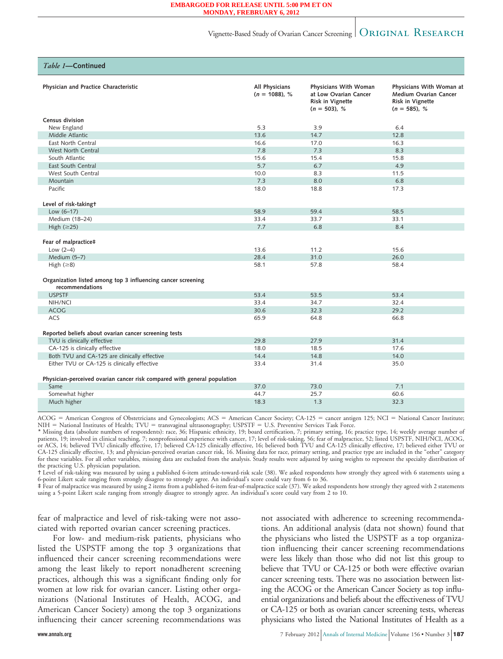# Vignette-Based Study of Ovarian Cancer Screening | ORIGINAL RESEARCH

| Table 1-Continued                                                               |                                   |                                                                                       |                                                                                                 |
|---------------------------------------------------------------------------------|-----------------------------------|---------------------------------------------------------------------------------------|-------------------------------------------------------------------------------------------------|
| Physician and Practice Characteristic                                           | All Physicians<br>$(n = 1088), %$ | Physicians With Woman<br>at Low Ovarian Cancer<br>Risk in Vignette<br>$(n = 503)$ , % | Physicians With Woman at<br><b>Medium Ovarian Cancer</b><br>Risk in Vignette<br>$(n = 585)$ , % |
| Census division                                                                 |                                   |                                                                                       |                                                                                                 |
| New England                                                                     | 5.3                               | 3.9                                                                                   | 6.4                                                                                             |
| Middle Atlantic                                                                 | 13.6                              | 14.7                                                                                  | 12.8                                                                                            |
| East North Central                                                              | 16.6                              | 17.0                                                                                  | 16.3                                                                                            |
| West North Central                                                              | 7.8                               | 7.3                                                                                   | 8.3                                                                                             |
| South Atlantic                                                                  | 15.6                              | 15.4                                                                                  | 15.8                                                                                            |
| East South Central                                                              | 5.7                               | 6.7                                                                                   | 4.9                                                                                             |
| West South Central                                                              | 10.0                              | 8.3                                                                                   | 11.5                                                                                            |
| Mountain                                                                        | 7.3                               | 8.0                                                                                   | 6.8                                                                                             |
| Pacific                                                                         | 18.0                              | 18.8                                                                                  | 17.3                                                                                            |
| Level of risk-takingt                                                           |                                   |                                                                                       |                                                                                                 |
| Low $(6-17)$                                                                    | 58.9                              | 59.4                                                                                  | 58.5                                                                                            |
| Medium (18-24)                                                                  | 33.4                              | 33.7                                                                                  | 33.1                                                                                            |
| High $(\geq 25)$                                                                | 7.7                               | 6.8                                                                                   | 8.4                                                                                             |
| Fear of malpractice‡                                                            |                                   |                                                                                       |                                                                                                 |
| Low $(2-4)$                                                                     | 13.6                              | 11.2                                                                                  | 15.6                                                                                            |
| Medium (5-7)                                                                    | 28.4                              | 31.0                                                                                  | 26.0                                                                                            |
| High $(\geq 8)$                                                                 | 58.1                              | 57.8                                                                                  | 58.4                                                                                            |
| Organization listed among top 3 influencing cancer screening<br>recommendations |                                   |                                                                                       |                                                                                                 |
| <b>USPSTF</b>                                                                   | 53.4                              | 53.5                                                                                  | 53.4                                                                                            |
| NIH/NCI                                                                         | 33.4                              | 34.7                                                                                  | 32.4                                                                                            |
| <b>ACOG</b>                                                                     | 30.6                              | 32.3                                                                                  | 29.2                                                                                            |
| ACS                                                                             | 65.9                              | 64.8                                                                                  | 66.8                                                                                            |
| Reported beliefs about ovarian cancer screening tests                           |                                   |                                                                                       |                                                                                                 |
| TVU is clinically effective                                                     | 29.8                              | 27.9                                                                                  | 31.4                                                                                            |
| CA-125 is clinically effective                                                  | 18.0                              | 18.5                                                                                  | 17.6                                                                                            |
| Both TVU and CA-125 are clinically effective                                    | 14.4                              | 14.8                                                                                  | 14.0                                                                                            |
| Either TVU or CA-125 is clinically effective                                    | 33.4                              | 31.4                                                                                  | 35.0                                                                                            |
| Physician-perceived ovarian cancer risk compared with general population        |                                   |                                                                                       |                                                                                                 |
| Same                                                                            | 37.0                              | 73.0                                                                                  | 7.1                                                                                             |
| Somewhat higher                                                                 | 44.7                              | 25.7                                                                                  | 60.6                                                                                            |
| Much higher                                                                     | 18.3                              | 1.3                                                                                   | 32.3                                                                                            |

ACOG = American Congress of Obstetricians and Gynecologists; ACS = American Cancer Society; CA-125 = cancer antigen 125; NCI = National Cancer Institute; NIH = National Institutes of Health; TVU = transvaginal ultrasonography; USPSTF = U.S. Preventive Services Task Force.

\* Missing data (absolute numbers of respondents): race, 36; Hispanic ethnicity, 19; board certification, 7; primary setting, 16; practice type, 14; weekly average number of patients, 19; involved in clinical teaching, 7; nonprofessional experience with cancer, 17; level of risk-taking, 56; fear of malpractice, 52; listed USPSTF, NIH/NCI, ACOG, or ACS, 14; believed TVU clinically effective, 17; believed CA-125 clinically effective, 16; believed both TVU and CA-125 clinically effective, 17; believed either TVU or CA-125 clinically effective, 13; and physician-perceived ovarian cancer risk, 16. Missing data for race, primary setting, and practice type are included in the "other" category for these variables. For all other variables, missing data are excluded from the analysis. Study results were adjusted by using weights to represent the specialty distribution of the practicing U.S. physician population.

† Level of risk-taking was measured by using a published 6-item attitude-toward-risk scale (38). We asked respondents how strongly they agreed with 6 statements using a 6-point Likert scale ranging from strongly disagree to strongly agree. An individual's score could vary from 6 to 36.<br>‡ Fear of malpractice was measured by using 2 items from a published 6-item fear-of-malpractice scale (3

using a 5-point Likert scale ranging from strongly disagree to strongly agree. An individual's score could vary from 2 to 10.

fear of malpractice and level of risk-taking were not associated with reported ovarian cancer screening practices.

For low- and medium-risk patients, physicians who listed the USPSTF among the top 3 organizations that influenced their cancer screening recommendations were among the least likely to report nonadherent screening practices, although this was a significant finding only for women at low risk for ovarian cancer. Listing other organizations (National Institutes of Health, ACOG, and American Cancer Society) among the top 3 organizations influencing their cancer screening recommendations was not associated with adherence to screening recommendations. An additional analysis (data not shown) found that the physicians who listed the USPSTF as a top organization influencing their cancer screening recommendations were less likely than those who did not list this group to believe that TVU or CA-125 or both were effective ovarian cancer screening tests. There was no association between listing the ACOG or the American Cancer Society as top influential organizations and beliefs about the effectiveness of TVU or CA-125 or both as ovarian cancer screening tests, whereas physicians who listed the National Institutes of Health as a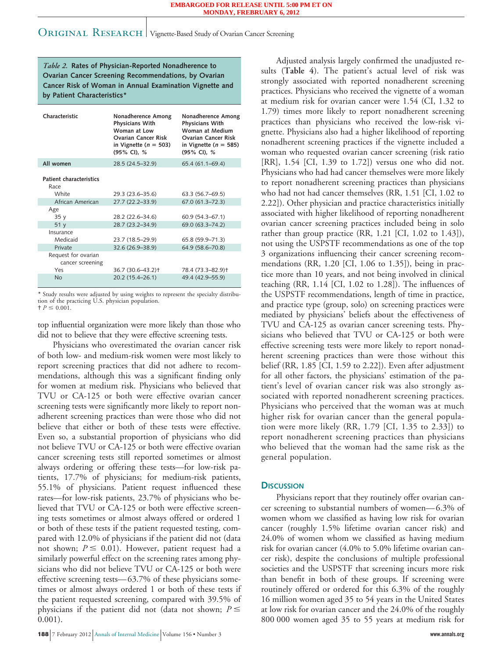ORIGINAL RESEARCH | Vignette-Based Study of Ovarian Cancer Screening

*Table 2.* **Rates of Physician-Reported Nonadherence to Ovarian Cancer Screening Recommendations, by Ovarian Cancer Risk of Woman in Annual Examination Vignette and by Patient Characteristics\***

| Characteristic                          | Nonadherence Among<br>Physicians With<br>Woman at Low<br><b>Ovarian Cancer Risk</b><br>in Vignette ( $n = 503$ )<br>(95% CI), % | Nonadherence Among<br>Physicians With<br>Woman at Medium<br><b>Ovarian Cancer Risk</b><br>in Vignette ( $n = 585$ )<br>(95% CI), % |
|-----------------------------------------|---------------------------------------------------------------------------------------------------------------------------------|------------------------------------------------------------------------------------------------------------------------------------|
| All women                               | 28.5 (24.5-32.9)                                                                                                                | $65.4(61.1 - 69.4)$                                                                                                                |
| <b>Patient characteristics</b><br>Race  |                                                                                                                                 |                                                                                                                                    |
| White                                   | 29.3 (23.6–35.6)                                                                                                                | $63.3(56.7-69.5)$                                                                                                                  |
| African American                        | 27.7 (22.2–33.9)                                                                                                                | $67.0(61.3 - 72.3)$                                                                                                                |
| Age<br>35y                              | 28.2 (22.6–34.6)                                                                                                                | $60.9(54.3 - 67.1)$                                                                                                                |
| 51y                                     | 28.7 (23.2–34.9)                                                                                                                | $69.0(63.3 - 74.2)$                                                                                                                |
| Insurance<br>Medicaid                   | 23.7 (18.5–29.9)                                                                                                                | 65.8 (59.9–71.3)                                                                                                                   |
| Private                                 | 32.6 (26.9-38.9)                                                                                                                | 64.9 (58.6-70.8)                                                                                                                   |
| Request for ovarian<br>cancer screening |                                                                                                                                 |                                                                                                                                    |
| Yes                                     | 36.7 (30.6–43.2)+                                                                                                               | 78.4 (73.3-82.9)+                                                                                                                  |
| <b>No</b>                               | 20.2 (15.4-26.1)                                                                                                                | 49.4 (42.9-55.9)                                                                                                                   |

\* Study results were adjusted by using weights to represent the specialty distribution of the practicing U.S. physician population.  $+ p < 0.001$ 

top influential organization were more likely than those who did not to believe that they were effective screening tests.

Physicians who overestimated the ovarian cancer risk of both low- and medium-risk women were most likely to report screening practices that did not adhere to recommendations, although this was a significant finding only for women at medium risk. Physicians who believed that TVU or CA-125 or both were effective ovarian cancer screening tests were significantly more likely to report nonadherent screening practices than were those who did not believe that either or both of these tests were effective. Even so, a substantial proportion of physicians who did not believe TVU or CA-125 or both were effective ovarian cancer screening tests still reported sometimes or almost always ordering or offering these tests—for low-risk patients, 17.7% of physicians; for medium-risk patients, 55.1% of physicians. Patient request influenced these rates—for low-risk patients, 23.7% of physicians who believed that TVU or CA-125 or both were effective screening tests sometimes or almost always offered or ordered 1 or both of these tests if the patient requested testing, compared with 12.0% of physicians if the patient did not (data not shown;  $P \leq 0.01$ ). However, patient request had a similarly powerful effect on the screening rates among physicians who did not believe TVU or CA-125 or both were effective screening tests—63.7% of these physicians sometimes or almost always ordered 1 or both of these tests if the patient requested screening, compared with 39.5% of physicians if the patient did not (data not shown;  $P \leq$ 0.001).

Adjusted analysis largely confirmed the unadjusted results (**Table 4**). The patient's actual level of risk was strongly associated with reported nonadherent screening practices. Physicians who received the vignette of a woman at medium risk for ovarian cancer were 1.54 (CI, 1.32 to 1.79) times more likely to report nonadherent screening practices than physicians who received the low-risk vignette. Physicians also had a higher likelihood of reporting nonadherent screening practices if the vignette included a woman who requested ovarian cancer screening (risk ratio [RR], 1.54 [CI, 1.39 to 1.72]) versus one who did not. Physicians who had had cancer themselves were more likely to report nonadherent screening practices than physicians who had not had cancer themselves (RR, 1.51 [CI, 1.02 to 2.22]). Other physician and practice characteristics initially associated with higher likelihood of reporting nonadherent ovarian cancer screening practices included being in solo rather than group practice  $(RR, 1.21 \,[\text{CI}, 1.02 \text{ to } 1.43]),$ not using the USPSTF recommendations as one of the top 3 organizations influencing their cancer screening recommendations (RR, 1.20 [CI, 1.06 to 1.35]), being in practice more than 10 years, and not being involved in clinical teaching (RR, 1.14 [CI, 1.02 to 1.28]). The influences of the USPSTF recommendations, length of time in practice, and practice type (group, solo) on screening practices were mediated by physicians' beliefs about the effectiveness of TVU and CA-125 as ovarian cancer screening tests. Physicians who believed that TVU or CA-125 or both were effective screening tests were more likely to report nonadherent screening practices than were those without this belief (RR, 1.85 [CI, 1.59 to 2.22]). Even after adjustment for all other factors, the physicians' estimation of the patient's level of ovarian cancer risk was also strongly associated with reported nonadherent screening practices. Physicians who perceived that the woman was at much higher risk for ovarian cancer than the general population were more likely (RR, 1.79 [CI, 1.35 to 2.33]) to report nonadherent screening practices than physicians who believed that the woman had the same risk as the general population.

#### **DISCUSSION**

Physicians report that they routinely offer ovarian cancer screening to substantial numbers of women—6.3% of women whom we classified as having low risk for ovarian cancer (roughly 1.5% lifetime ovarian cancer risk) and 24.0% of women whom we classified as having medium risk for ovarian cancer (4.0% to 5.0% lifetime ovarian cancer risk), despite the conclusions of multiple professional societies and the USPSTF that screening incurs more risk than benefit in both of these groups. If screening were routinely offered or ordered for this 6.3% of the roughly 16 million women aged 35 to 54 years in the United States at low risk for ovarian cancer and the 24.0% of the roughly 800 000 women aged 35 to 55 years at medium risk for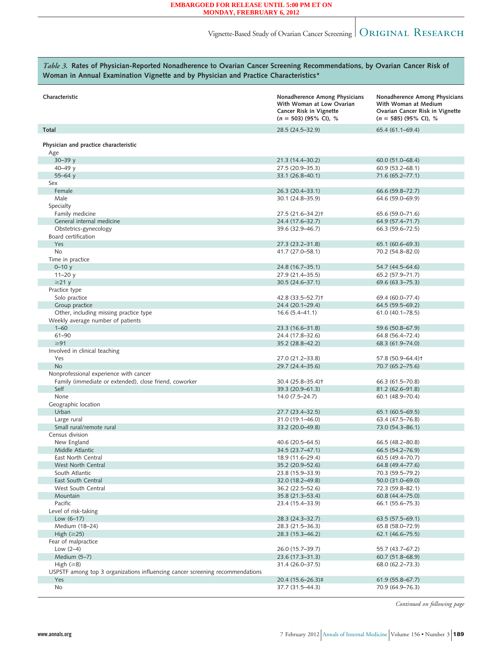# Vignette-Based Study of Ovarian Cancer Screening | ORIGINAL RESEARCH

*Table 3.* **Rates of Physician-Reported Nonadherence to Ovarian Cancer Screening Recommendations, by Ovarian Cancer Risk of Woman in Annual Examination Vignette and by Physician and Practice Characteristics\***

| Characteristic                                                                | Nonadherence Among Physicians<br>With Woman at Low Ovarian<br>Cancer Risk in Vignette<br>$(n = 503)$ (95% CI), % | Nonadherence Among Physicians<br>With Woman at Medium<br>Ovarian Cancer Risk in Vignette<br>$(n = 585)$ (95% CI), % |
|-------------------------------------------------------------------------------|------------------------------------------------------------------------------------------------------------------|---------------------------------------------------------------------------------------------------------------------|
| Total                                                                         | 28.5 (24.5–32.9)                                                                                                 | 65.4 (61.1–69.4)                                                                                                    |
| Physician and practice characteristic<br>Age                                  |                                                                                                                  |                                                                                                                     |
| $30 - 39y$                                                                    | 21.3 (14.4–30.2)                                                                                                 | $60.0(51.0-68.4)$                                                                                                   |
| 40 $-49y$                                                                     | 27.5 (20.9–35.3)                                                                                                 | $60.9(53.2 - 68.1)$                                                                                                 |
| $55 - 64$ y                                                                   | 33.1 (26.8–40.1)                                                                                                 | 71.6 (65.2–77.1)                                                                                                    |
| Sex                                                                           |                                                                                                                  |                                                                                                                     |
| Female                                                                        | 26.3 (20.4–33.1)                                                                                                 | 66.6 (59.8–72.7)                                                                                                    |
| Male                                                                          | 30.1 (24.8–35.9)                                                                                                 | 64.6 (59.0–69.9)                                                                                                    |
| Specialty                                                                     |                                                                                                                  |                                                                                                                     |
| Family medicine                                                               | 27.5 (21.6-34.2) <sup>+</sup>                                                                                    | 65.6 (59.0–71.6)                                                                                                    |
| General internal medicine                                                     | 24.4 (17.6–32.7)                                                                                                 | 64.9 (57.4–71.7)                                                                                                    |
| Obstetrics-gynecology                                                         | 39.6 (32.9–46.7)                                                                                                 | 66.3 (59.6–72.5)                                                                                                    |
| Board certification                                                           |                                                                                                                  |                                                                                                                     |
| Yes                                                                           | 27.3 (23.2–31.8)                                                                                                 | $65.1(60.6 - 69.3)$                                                                                                 |
| No                                                                            | 41.7 (27.0–58.1)                                                                                                 | 70.2 (54.8-82.0)                                                                                                    |
| Time in practice                                                              |                                                                                                                  |                                                                                                                     |
| $0 - 10y$                                                                     | 24.8 (16.7-35.1)                                                                                                 | 54.7 (44.5–64.6)                                                                                                    |
| $11 - 20y$                                                                    | 27.9 (21.4-35.5)                                                                                                 | 65.2 (57.9-71.7)                                                                                                    |
| $\geq$ 21 y                                                                   | 30.5 (24.6-37.1)                                                                                                 | $69.6(63.3 - 75.3)$                                                                                                 |
| Practice type                                                                 |                                                                                                                  |                                                                                                                     |
| Solo practice                                                                 | 42.8 (33.5-52.7)+                                                                                                | 69.4 (60.0–77.4)                                                                                                    |
| Group practice                                                                | 24.4 (20.1–29.4)                                                                                                 | $64.5(59.5-69.2)$                                                                                                   |
| Other, including missing practice type                                        | $16.6(5.4 - 41.1)$                                                                                               | 61.0 (40.1–78.5)                                                                                                    |
| Weekly average number of patients                                             |                                                                                                                  |                                                                                                                     |
| $1 - 60$                                                                      | 23.3 (16.6–31.8)                                                                                                 | 59.6 (50.8–67.9)                                                                                                    |
| $61 - 90$                                                                     | 24.4 (17.8–32.6)                                                                                                 | 64.8 (56.4-72.4)                                                                                                    |
| $\geq$ 91                                                                     | 35.2 (28.8-42.2)                                                                                                 | 68.3 (61.9–74.0)                                                                                                    |
| Involved in clinical teaching                                                 |                                                                                                                  |                                                                                                                     |
| Yes                                                                           | 27.0 (21.2–33.8)                                                                                                 | 57.8 (50.9-64.4) <sup>+</sup>                                                                                       |
| <b>No</b>                                                                     | 29.7 (24.4-35.6)                                                                                                 | 70.7 (65.2-75.6)                                                                                                    |
| Nonprofessional experience with cancer                                        |                                                                                                                  |                                                                                                                     |
| Family (immediate or extended), close friend, coworker                        | 30.4 (25.8–35.4) <sup>+</sup>                                                                                    | 66.3 (61.5–70.8)                                                                                                    |
| Self                                                                          | 39.3 (20.9-61.3)                                                                                                 | 81.2 (62.6–91.8)                                                                                                    |
| None                                                                          | 14.0 (7.5–24.7)                                                                                                  | 60.1 (48.9–70.4)                                                                                                    |
| Geographic location                                                           |                                                                                                                  |                                                                                                                     |
| Urban                                                                         | 27.7 (23.4–32.5)                                                                                                 | $65.1(60.5-69.5)$                                                                                                   |
| Large rural<br>Small rural/remote rural                                       | 31.0 (19.1–46.0)                                                                                                 | 63.4 (47.5–76.8)                                                                                                    |
| Census division                                                               | 33.2 (20.0–49.8)                                                                                                 | 73.0 (54.3–86.1)                                                                                                    |
| New England                                                                   | 40.6 (20.5–64.5)                                                                                                 | 66.5 (48.2-80.8)                                                                                                    |
| Middle Atlantic                                                               | 34.5 (23.7–47.1)                                                                                                 | 66.5 (54.2–76.9)                                                                                                    |
| East North Central                                                            | 18.9 (11.6–29.4)                                                                                                 | 60.5 (49.4–70.7)                                                                                                    |
| West North Central                                                            | 35.2 (20.9–52.6)                                                                                                 | 64.8 (49.4–77.6)                                                                                                    |
| South Atlantic                                                                | 23.8 (15.9-33.9)                                                                                                 | 70.3 (59.5–79.2)                                                                                                    |
| East South Central                                                            | 32.0 (18.2-49.8)                                                                                                 | 50.0 (31.0-69.0)                                                                                                    |
| West South Central                                                            | 36.2 (22.5–52.6)                                                                                                 | 72.3 (59.8-82.1)                                                                                                    |
| Mountain                                                                      | 35.8 (21.3–53.4)                                                                                                 | 60.8 (44.4-75.0)                                                                                                    |
| Pacific                                                                       | 23.4 (15.4–33.9)                                                                                                 | 66.1 (55.6-75.3)                                                                                                    |
| Level of risk-taking                                                          |                                                                                                                  |                                                                                                                     |
| Low $(6-17)$                                                                  | 28.3 (24.3-32.7)                                                                                                 | $63.5(57.5 - 69.1)$                                                                                                 |
| Medium (18-24)                                                                | 28.3 (21.5-36.3)                                                                                                 | 65.8 (58.0-72.9)                                                                                                    |
| High $(\geq 25)$                                                              | 28.3 (15.3-46.2)                                                                                                 | $62.1(46.6 - 75.5)$                                                                                                 |
| Fear of malpractice                                                           |                                                                                                                  |                                                                                                                     |
| Low $(2-4)$                                                                   | 26.0 (15.7-39.7)                                                                                                 | 55.7 (43.7-67.2)                                                                                                    |
| Medium (5-7)                                                                  | 23.6 (17.3-31.3)                                                                                                 | $60.7(51.8 - 68.9)$                                                                                                 |
| High $(\geq 8)$                                                               | 31.4 (26.0-37.5)                                                                                                 | 68.0 (62.2–73.3)                                                                                                    |
| USPSTF among top 3 organizations influencing cancer screening recommendations |                                                                                                                  |                                                                                                                     |
| Yes                                                                           | 20.4 (15.6-26.3)‡                                                                                                | $61.9(55.8 - 67.7)$                                                                                                 |
| No                                                                            | 37.7 (31.5-44.3)                                                                                                 | 70.9 (64.9-76.3)                                                                                                    |

*Continued on following page*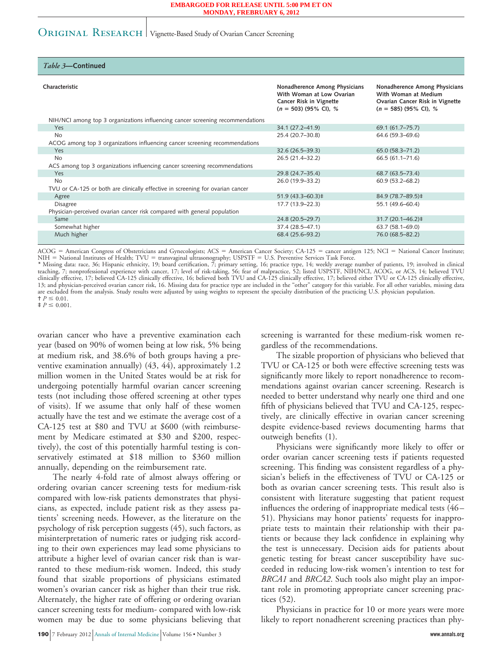# ORIGINAL RESEARCH | Vignette-Based Study of Ovarian Cancer Screening

| <i>Table 3</i> —Continued                                                      |                                                                                                                  |                                                                                                                     |
|--------------------------------------------------------------------------------|------------------------------------------------------------------------------------------------------------------|---------------------------------------------------------------------------------------------------------------------|
| Characteristic                                                                 | Nonadherence Among Physicians<br>With Woman at Low Ovarian<br>Cancer Risk in Vignette<br>$(n = 503)$ (95% CI), % | Nonadherence Among Physicians<br>With Woman at Medium<br>Ovarian Cancer Risk in Vignette<br>$(n = 585)$ (95% CI), % |
| NIH/NCI among top 3 organizations influencing cancer screening recommendations |                                                                                                                  |                                                                                                                     |
| Yes                                                                            | 34.1 (27.2-41.9)                                                                                                 | 69.1 (61.7–75.7)                                                                                                    |
| N <sub>o</sub>                                                                 | 25.4 (20.7–30.8)                                                                                                 | 64.6 (59.3–69.6)                                                                                                    |
| ACOG among top 3 organizations influencing cancer screening recommendations    |                                                                                                                  |                                                                                                                     |
| Yes                                                                            | $32.6(26.5 - 39.3)$                                                                                              | 65.0 (58.3-71.2)                                                                                                    |
| No                                                                             | 26.5 (21.4-32.2)                                                                                                 | $66.5(61.1 - 71.6)$                                                                                                 |
| ACS among top 3 organizations influencing cancer screening recommendations     |                                                                                                                  |                                                                                                                     |
| Yes                                                                            | 29.8 (24.7-35.4)                                                                                                 | $68.7(63.5 - 73.4)$                                                                                                 |
| <b>No</b>                                                                      | 26.0 (19.9-33.2)                                                                                                 | $60.9(53.2 - 68.2)$                                                                                                 |
| TVU or CA-125 or both are clinically effective in screening for ovarian cancer |                                                                                                                  |                                                                                                                     |
| Agree                                                                          | $51.9(43.3 - 60.3)$ #                                                                                            | 84.9 (78.7-89.5) ‡                                                                                                  |
| Disagree                                                                       | 17.7 (13.9–22.3)                                                                                                 | 55.1 (49.6-60.4)                                                                                                    |
| Physician-perceived ovarian cancer risk compared with general population       |                                                                                                                  |                                                                                                                     |
| Same                                                                           | 24.8 (20.5-29.7)                                                                                                 | $31.7(20.1 - 46.2)$ ‡                                                                                               |
| Somewhat higher                                                                | 37.4 (28.5-47.1)                                                                                                 | 63.7 (58.1-69.0)                                                                                                    |
| Much higher                                                                    | 68.4 (25.6–93.2)                                                                                                 | 76.0 (68.5-82.2)                                                                                                    |

ACOG = American Congress of Obstetricians and Gynecologists; ACS = American Cancer Society; CA-125 = cancer antigen 125; NCI = National Cancer Institute;<br>NIH = National Institutes of Health; TVU = transvaginal ultrasonogra \* Missing data: race, 36; Hispanic ethnicity, 19; board certification, 7; primary setting, 16; practice type, 14; weekly average number of patients, 19; involved in clinical teaching, 7; nonprofessional experience with cancer, 17; level of risk-taking, 56; fear of malpractice, 52; listed USPSTF, NIH/NCI, ACOG, or ACS, 14; believed TVU

clinically effective, 17; believed CA-125 clinically effective, 16; believed both TVU and CA-125 clinically effective, 17; believed either TVU or CA-125 clinically effective, 13; and physician-perceived ovarian cancer risk, 16. Missing data for practice type are included in the "other" category for this variable. For all other variables, missing data are excluded from the analysis. Study results were adjusted by using weights to represent the specialty distribution of the practicing U.S. physician population.  $\dagger$  *P*  $\leq$  0.01.

 $\ddagger$  *P*  $\leq$  0.001.

ovarian cancer who have a preventive examination each year (based on 90% of women being at low risk, 5% being at medium risk, and 38.6% of both groups having a preventive examination annually) (43, 44), approximately 1.2 million women in the United States would be at risk for undergoing potentially harmful ovarian cancer screening tests (not including those offered screening at other types of visits). If we assume that only half of these women actually have the test and we estimate the average cost of a CA-125 test at \$80 and TVU at \$600 (with reimbursement by Medicare estimated at \$30 and \$200, respectively), the cost of this potentially harmful testing is conservatively estimated at \$18 million to \$360 million annually, depending on the reimbursement rate.

The nearly 4-fold rate of almost always offering or ordering ovarian cancer screening tests for medium-risk compared with low-risk patients demonstrates that physicians, as expected, include patient risk as they assess patients' screening needs. However, as the literature on the psychology of risk perception suggests (45), such factors, as misinterpretation of numeric rates or judging risk according to their own experiences may lead some physicians to attribute a higher level of ovarian cancer risk than is warranted to these medium-risk women. Indeed, this study found that sizable proportions of physicians estimated women's ovarian cancer risk as higher than their true risk. Alternately, the higher rate of offering or ordering ovarian cancer screening tests for medium- compared with low-risk women may be due to some physicians believing that screening is warranted for these medium-risk women regardless of the recommendations.

The sizable proportion of physicians who believed that TVU or CA-125 or both were effective screening tests was significantly more likely to report nonadherence to recommendations against ovarian cancer screening. Research is needed to better understand why nearly one third and one fifth of physicians believed that TVU and CA-125, respectively, are clinically effective in ovarian cancer screening despite evidence-based reviews documenting harms that outweigh benefits (1).

Physicians were significantly more likely to offer or order ovarian cancer screening tests if patients requested screening. This finding was consistent regardless of a physician's beliefs in the effectiveness of TVU or CA-125 or both as ovarian cancer screening tests. This result also is consistent with literature suggesting that patient request influences the ordering of inappropriate medical tests (46– 51). Physicians may honor patients' requests for inappropriate tests to maintain their relationship with their patients or because they lack confidence in explaining why the test is unnecessary. Decision aids for patients about genetic testing for breast cancer susceptibility have succeeded in reducing low-risk women's intention to test for *BRCA1* and *BRCA2*. Such tools also might play an important role in promoting appropriate cancer screening practices (52).

Physicians in practice for 10 or more years were more likely to report nonadherent screening practices than phy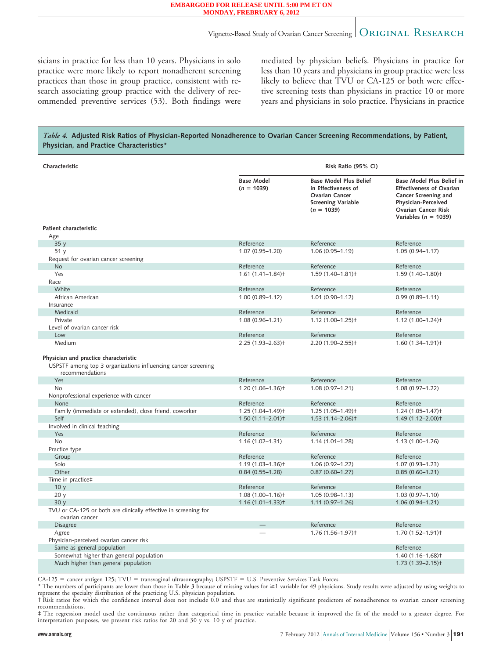sicians in practice for less than 10 years. Physicians in solo practice were more likely to report nonadherent screening practices than those in group practice, consistent with research associating group practice with the delivery of recommended preventive services (53). Both findings were

mediated by physician beliefs. Physicians in practice for less than 10 years and physicians in group practice were less likely to believe that TVU or CA-125 or both were effective screening tests than physicians in practice 10 or more years and physicians in solo practice. Physicians in practice

#### *Table 4.* **Adjusted Risk Ratios of Physician-Reported Nonadherence to Ovarian Cancer Screening Recommendations, by Patient, Physician, and Practice Characteristics\***

| Characteristic                                                                                                            | Risk Ratio (95% CI)               |                                                                                                                     |                                                                                                                                                                |
|---------------------------------------------------------------------------------------------------------------------------|-----------------------------------|---------------------------------------------------------------------------------------------------------------------|----------------------------------------------------------------------------------------------------------------------------------------------------------------|
| Patient characteristic                                                                                                    | <b>Base Model</b><br>$(n = 1039)$ | <b>Base Model Plus Belief</b><br>in Effectiveness of<br>Ovarian Cancer<br><b>Screening Variable</b><br>$(n = 1039)$ | Base Model Plus Belief in<br><b>Effectiveness of Ovarian</b><br>Cancer Screening and<br>Physician-Perceived<br>Ovarian Cancer Risk<br>Variables ( $n = 1039$ ) |
| Age                                                                                                                       |                                   |                                                                                                                     |                                                                                                                                                                |
| 35y                                                                                                                       | Reference                         | Reference                                                                                                           | Reference                                                                                                                                                      |
| 51y                                                                                                                       | $1.07(0.95 - 1.20)$               | $1.06(0.95 - 1.19)$                                                                                                 | $1.05(0.94 - 1.17)$                                                                                                                                            |
| Request for ovarian cancer screening                                                                                      |                                   |                                                                                                                     |                                                                                                                                                                |
| <b>No</b>                                                                                                                 | Reference                         | Reference                                                                                                           | Reference                                                                                                                                                      |
| Yes                                                                                                                       | $1.61(1.41 - 1.84)$               | 1.59 (1.40-1.81)+                                                                                                   | 1.59 (1.40-1.80)+                                                                                                                                              |
| Race                                                                                                                      |                                   |                                                                                                                     |                                                                                                                                                                |
| White                                                                                                                     | Reference                         | Reference                                                                                                           | Reference                                                                                                                                                      |
| African American                                                                                                          | $1.00(0.89 - 1.12)$               | $1.01(0.90 - 1.12)$                                                                                                 | $0.99(0.89 - 1.11)$                                                                                                                                            |
| Insurance<br>Medicaid                                                                                                     | Reference                         | Reference                                                                                                           | Reference                                                                                                                                                      |
| Private                                                                                                                   | $1.08(0.96 - 1.21)$               | $1.12(1.00-1.25)$ <sup>+</sup>                                                                                      | $1.12(1.00-1.24)$ <sup>+</sup>                                                                                                                                 |
| Level of ovarian cancer risk                                                                                              |                                   |                                                                                                                     |                                                                                                                                                                |
| Low                                                                                                                       | Reference                         | Reference                                                                                                           | Reference                                                                                                                                                      |
| Medium                                                                                                                    | $2.25(1.93 - 2.63)$ <sup>+</sup>  | $2.20(1.90 - 2.55)$ <sup>+</sup>                                                                                    | $1.60(1.34 - 1.91)$                                                                                                                                            |
| Physician and practice characteristic<br>USPSTF among top 3 organizations influencing cancer screening<br>recommendations |                                   |                                                                                                                     |                                                                                                                                                                |
| Yes                                                                                                                       | Reference                         | Reference                                                                                                           | Reference                                                                                                                                                      |
| No                                                                                                                        | $1.20(1.06 - 1.36)$               | $1.08(0.97 - 1.21)$                                                                                                 | $1.08(0.97 - 1.22)$                                                                                                                                            |
| Nonprofessional experience with cancer<br>None                                                                            | Reference                         | Reference                                                                                                           | Reference                                                                                                                                                      |
| Family (immediate or extended), close friend, coworker                                                                    | 1.25 (1.04-1.49) <sup>+</sup>     | $1.25(1.05 - 1.49)$                                                                                                 | $1.24(1.05 - 1.47)$                                                                                                                                            |
| Self                                                                                                                      | $1.50(1.11 - 2.01)$               | $1.53(1.14 - 2.06)$ <sup>+</sup>                                                                                    | 1.49 (1.12-2.00)+                                                                                                                                              |
| Involved in clinical teaching                                                                                             |                                   |                                                                                                                     |                                                                                                                                                                |
| Yes                                                                                                                       | Reference                         | Reference                                                                                                           | Reference                                                                                                                                                      |
| No                                                                                                                        | $1.16(1.02 - 1.31)$               | $1.14(1.01 - 1.28)$                                                                                                 | $1.13(1.00 - 1.26)$                                                                                                                                            |
| Practice type                                                                                                             |                                   |                                                                                                                     |                                                                                                                                                                |
| Group                                                                                                                     | Reference                         | Reference                                                                                                           | Reference                                                                                                                                                      |
| Solo                                                                                                                      | $1.19(1.03 - 1.36)$ <sup>+</sup>  | $1.06(0.92 - 1.22)$                                                                                                 | $1.07(0.93 - 1.23)$                                                                                                                                            |
| Other                                                                                                                     | $0.84(0.55 - 1.28)$               | $0.87(0.60 - 1.27)$                                                                                                 | $0.85(0.60 - 1.21)$                                                                                                                                            |
| Time in practice‡                                                                                                         |                                   |                                                                                                                     |                                                                                                                                                                |
| 10 <sub>y</sub>                                                                                                           | Reference                         | Reference                                                                                                           | Reference                                                                                                                                                      |
| 20y                                                                                                                       | $1.08(1.00 - 1.16)$ <sup>+</sup>  | $1.05(0.98 - 1.13)$                                                                                                 | $1.03(0.97 - 1.10)$                                                                                                                                            |
| 30y                                                                                                                       | $1.16(1.01 - 1.33)$               | $1.11(0.97 - 1.26)$                                                                                                 | $1.06(0.94 - 1.21)$                                                                                                                                            |
| TVU or CA-125 or both are clinically effective in screening for<br>ovarian cancer                                         |                                   |                                                                                                                     |                                                                                                                                                                |
| <b>Disagree</b>                                                                                                           |                                   | Reference                                                                                                           | Reference                                                                                                                                                      |
| Agree                                                                                                                     |                                   | $1.76(1.56 - 1.97)$ <sup>+</sup>                                                                                    | $1.70(1.52 - 1.91)$                                                                                                                                            |
| Physician-perceived ovarian cancer risk                                                                                   |                                   |                                                                                                                     |                                                                                                                                                                |
| Same as general population                                                                                                |                                   |                                                                                                                     | Reference                                                                                                                                                      |
| Somewhat higher than general population                                                                                   |                                   |                                                                                                                     | $1.40(1.16 - 1.68)$                                                                                                                                            |
| Much higher than general population                                                                                       |                                   |                                                                                                                     | $1.73(1.39 - 2.15)$                                                                                                                                            |

CA-125 = cancer antigen 125; TVU = transvaginal ultrasonography; USPSTF = U.S. Preventive Services Task Forces.

\* The numbers of participants are lower than those in Table 3 because of missing values for  $\geq 1$  variable for 49 physicians. Study results were adjusted by using weights to

represent the specialty distribution of the practicing U.S. physician population.<br>† Risk ratios for which the confidence interval does not include 0.0 and thus are statistically significant predictors of nonadherence to ov recommendations.

‡ The regression model used the continuous rather than categorical time in practice variable because it improved the fit of the model to a greater degree. For interpretation purposes, we present risk ratios for 20 and 30 y vs. 10 y of practice.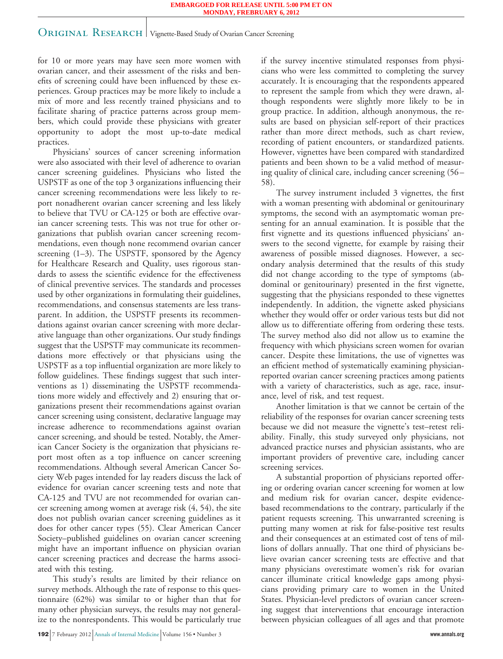ORIGINAL RESEARCH | Vignette-Based Study of Ovarian Cancer Screening

for 10 or more years may have seen more women with ovarian cancer, and their assessment of the risks and benefits of screening could have been influenced by these experiences. Group practices may be more likely to include a mix of more and less recently trained physicians and to facilitate sharing of practice patterns across group members, which could provide these physicians with greater opportunity to adopt the most up-to-date medical practices.

Physicians' sources of cancer screening information were also associated with their level of adherence to ovarian cancer screening guidelines. Physicians who listed the USPSTF as one of the top 3 organizations influencing their cancer screening recommendations were less likely to report nonadherent ovarian cancer screening and less likely to believe that TVU or CA-125 or both are effective ovarian cancer screening tests. This was not true for other organizations that publish ovarian cancer screening recommendations, even though none recommend ovarian cancer screening  $(1-3)$ . The USPSTF, sponsored by the Agency for Healthcare Research and Quality, uses rigorous standards to assess the scientific evidence for the effectiveness of clinical preventive services. The standards and processes used by other organizations in formulating their guidelines, recommendations, and consensus statements are less transparent. In addition, the USPSTF presents its recommendations against ovarian cancer screening with more declarative language than other organizations. Our study findings suggest that the USPSTF may communicate its recommendations more effectively or that physicians using the USPSTF as a top influential organization are more likely to follow guidelines. These findings suggest that such interventions as 1) disseminating the USPSTF recommendations more widely and effectively and 2) ensuring that organizations present their recommendations against ovarian cancer screening using consistent, declarative language may increase adherence to recommendations against ovarian cancer screening, and should be tested. Notably, the American Cancer Society is the organization that physicians report most often as a top influence on cancer screening recommendations. Although several American Cancer Society Web pages intended for lay readers discuss the lack of evidence for ovarian cancer screening tests and note that CA-125 and TVU are not recommended for ovarian cancer screening among women at average risk (4, 54), the site does not publish ovarian cancer screening guidelines as it does for other cancer types (55). Clear American Cancer Society–published guidelines on ovarian cancer screening might have an important influence on physician ovarian cancer screening practices and decrease the harms associated with this testing.

This study's results are limited by their reliance on survey methods. Although the rate of response to this questionnaire (62%) was similar to or higher than that for many other physician surveys, the results may not generalize to the nonrespondents. This would be particularly true if the survey incentive stimulated responses from physicians who were less committed to completing the survey accurately. It is encouraging that the respondents appeared to represent the sample from which they were drawn, although respondents were slightly more likely to be in group practice. In addition, although anonymous, the results are based on physician self-report of their practices rather than more direct methods, such as chart review, recording of patient encounters, or standardized patients. However, vignettes have been compared with standardized patients and been shown to be a valid method of measuring quality of clinical care, including cancer screening (56– 58).

The survey instrument included 3 vignettes, the first with a woman presenting with abdominal or genitourinary symptoms, the second with an asymptomatic woman presenting for an annual examination. It is possible that the first vignette and its questions influenced physicians' answers to the second vignette, for example by raising their awareness of possible missed diagnoses. However, a secondary analysis determined that the results of this study did not change according to the type of symptoms (abdominal or genitourinary) presented in the first vignette, suggesting that the physicians responded to these vignettes independently. In addition, the vignette asked physicians whether they would offer or order various tests but did not allow us to differentiate offering from ordering these tests. The survey method also did not allow us to examine the frequency with which physicians screen women for ovarian cancer. Despite these limitations, the use of vignettes was an efficient method of systematically examining physicianreported ovarian cancer screening practices among patients with a variety of characteristics, such as age, race, insurance, level of risk, and test request.

Another limitation is that we cannot be certain of the reliability of the responses for ovarian cancer screening tests because we did not measure the vignette's test–retest reliability. Finally, this study surveyed only physicians, not advanced practice nurses and physician assistants, who are important providers of preventive care, including cancer screening services.

A substantial proportion of physicians reported offering or ordering ovarian cancer screening for women at low and medium risk for ovarian cancer, despite evidencebased recommendations to the contrary, particularly if the patient requests screening. This unwarranted screening is putting many women at risk for false-positive test results and their consequences at an estimated cost of tens of millions of dollars annually. That one third of physicians believe ovarian cancer screening tests are effective and that many physicians overestimate women's risk for ovarian cancer illuminate critical knowledge gaps among physicians providing primary care to women in the United States. Physician-level predictors of ovarian cancer screening suggest that interventions that encourage interaction between physician colleagues of all ages and that promote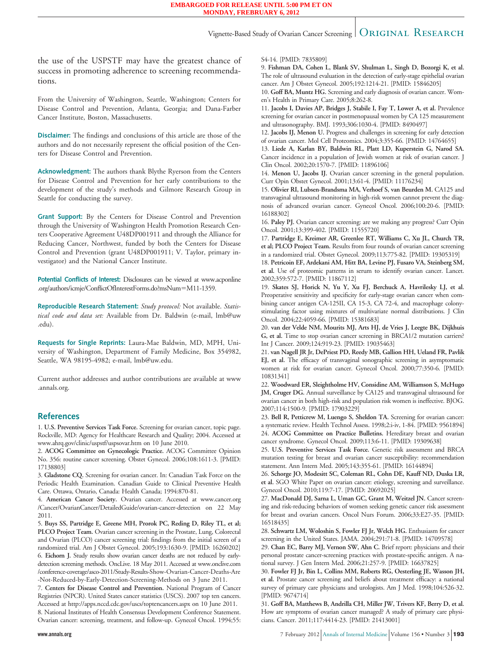# Vignette-Based Study of Ovarian Cancer Screening | ORIGINAL RESEARCH

the use of the USPSTF may have the greatest chance of success in promoting adherence to screening recommendations.

From the University of Washington, Seattle, Washington; Centers for Disease Control and Prevention, Atlanta, Georgia; and Dana-Farber Cancer Institute, Boston, Massachusetts.

**Disclaimer:** The findings and conclusions of this article are those of the authors and do not necessarily represent the official position of the Centers for Disease Control and Prevention.

**Acknowledgment:** The authors thank Blythe Ryerson from the Centers for Disease Control and Prevention for her early contributions to the development of the study's methods and Gilmore Research Group in Seattle for conducting the survey.

**Grant Support:** By the Centers for Disease Control and Prevention through the University of Washington Health Promotion Research Centers Cooperative Agreement U48DP001911 and through the Alliance for Reducing Cancer, Northwest, funded by both the Centers for Disease Control and Prevention (grant U48DP001911; V. Taylor, primary investigator) and the National Cancer Institute.

**Potential Conflicts of Interest:** Disclosures can be viewed at www.acponline .org/authors/icmje/ConflictOfInterestForms.do?msNum-M11-1359.

**Reproducible Research Statement:** *Study protocol:* Not available. *Statistical code and data set:* Available from Dr. Baldwin (e-mail, lmb@uw .edu).

**Requests for Single Reprints:** Laura-Mae Baldwin, MD, MPH, University of Washington, Department of Family Medicine, Box 354982, Seattle, WA 98195-4982; e-mail, lmb@uw.edu.

Current author addresses and author contributions are available at www .annals.org.

#### **References**

1. **U.S. Preventive Services Task Force.** Screening for ovarian cancer, topic page. Rockville, MD: Agency for Healthcare Research and Quality; 2004. Accessed at www.ahrq.gov/clinic/uspstf/uspsovar.htm on 10 June 2010.

2. **ACOG Committee on Gynecologic Practice.** ACOG Committee Opinion No. 356: routine cancer screening. Obstet Gynecol. 2006;108:1611-3. [PMID: 17138803]

3. **Gladstone CQ.** Screening for ovarian cancer. In: Canadian Task Force on the Periodic Health Examination. Canadian Guide to Clinical Preventive Health Care. Ottawa, Ontario, Canada: Health Canada; 1994:870-81.

4. **American Cancer Society.** Ovarian cancer. Accessed at www.cancer.org /Cancer/OvarianCancer/DetailedGuide/ovarian-cancer-detection on 22 May 2011.

5. **Buys SS, Partridge E, Greene MH, Prorok PC, Reding D, Riley TL, et al; PLCO Project Team.** Ovarian cancer screening in the Prostate, Lung, Colorectal and Ovarian (PLCO) cancer screening trial: findings from the initial screen of a randomized trial. Am J Obstet Gynecol. 2005;193:1630-9. [PMID: 16260202] 6. **Eichorn J.** Study results show ovarian cancer deaths are not reduced by earlydetection screening methods. OncLive. 18 May 2011. Accessed at www.onclive.com /conference-coverage/asco-2011/Study-Results-Show-Ovarian-Cancer-Deaths-Are -Not-Reduced-by-Early-Detection-Screening-Methods on 3 June 2011.

7. **Centers for Disease Control and Prevention.** National Program of Cancer Registries (NPCR). United States cancer statistics (USCS). 2007 top ten cancers. Accessed at http://apps.nccd.cdc.gov/uscs/toptencancers.aspx on 10 June 2011. 8. National Institutes of Health Consensus Development Conference Statement. Ovarian cancer: screening, treatment, and follow-up. Gynecol Oncol. 1994;55: S4-14. [PMID: 7835809]

9. **Fishman DA, Cohen L, Blank SV, Shulman L, Singh D, Bozorgi K, et al.** The role of ultrasound evaluation in the detection of early-stage epithelial ovarian cancer. Am J Obstet Gynecol. 2005;192:1214-21. [PMID: 15846205]

10. **Goff BA, Muntz HG.** Screening and early diagnosis of ovarian cancer. Women's Health in Primary Care. 2005;8:262-8.

11. **Jacobs I, Davies AP, Bridges J, Stabile I, Fay T, Lower A, et al.** Prevalence screening for ovarian cancer in postmenopausal women by CA 125 measurement and ultrasonography. BMJ. 1993;306:1030-4. [PMID: 8490497]

12. **Jacobs IJ, Menon U.** Progress and challenges in screening for early detection of ovarian cancer. Mol Cell Proteomics. 2004;3:355-66. [PMID: 14764655]

13. **Liede A, Karlan BY, Baldwin RL, Platt LD, Kuperstein G, Narod SA.** Cancer incidence in a population of Jewish women at risk of ovarian cancer. J Clin Oncol. 2002;20:1570-7. [PMID: 11896106]

14. **Menon U, Jacobs IJ.** Ovarian cancer screening in the general population. Curr Opin Obstet Gynecol. 2001;13:61-4. [PMID: 11176234]

15. **Olivier RI, Lubsen-Brandsma MA, Verhoef S, van Beurden M.** CA125 and transvaginal ultrasound monitoring in high-risk women cannot prevent the diagnosis of advanced ovarian cancer. Gynecol Oncol. 2006;100:20-6. [PMID: 16188302]

16. **Paley PJ.** Ovarian cancer screening: are we making any progress? Curr Opin Oncol. 2001;13:399-402. [PMID: 11555720]

17. **Partridge E, Kreimer AR, Greenlee RT, Williams C, Xu JL, Church TR, et al; PLCO Project Team.** Results from four rounds of ovarian cancer screening in a randomized trial. Obstet Gynecol. 2009;113:775-82. [PMID: 19305319]

18. **Petricoin EF, Ardekani AM, Hitt BA, Levine PJ, Fusaro VA, Steinberg SM, et al.** Use of proteomic patterns in serum to identify ovarian cancer. Lancet. 2002;359:572-7. [PMID: 11867112]

19. **Skates SJ, Horick N, Yu Y, Xu FJ, Berchuck A, Havrilesky LJ, et al.** Preoperative sensitivity and specificity for early-stage ovarian cancer when combining cancer antigen CA-125II, CA 15-3, CA 72-4, and macrophage colonystimulating factor using mixtures of multivariate normal distributions. J Clin Oncol. 2004;22:4059-66. [PMID: 15381683]

20. **van der Velde NM, Mourits MJ, Arts HJ, de Vries J, Leegte BK, Dijkhuis G, et al.** Time to stop ovarian cancer screening in BRCA1/2 mutation carriers? Int J Cancer. 2009;124:919-23. [PMID: 19035463]

21. **van Nagell JR Jr, DePriest PD, Reedy MB, Gallion HH, Ueland FR, Pavlik EJ, et al.** The efficacy of transvaginal sonographic screening in asymptomatic women at risk for ovarian cancer. Gynecol Oncol. 2000;77:350-6. [PMID: 10831341]

22. **Woodward ER, Sleightholme HV, Considine AM, Williamson S, McHugo JM, Cruger DG.** Annual surveillance by CA125 and transvaginal ultrasound for ovarian cancer in both high-risk and population risk women is ineffective. BJOG. 2007;114:1500-9. [PMID: 17903229]

23. **Bell R, Petticrew M, Luengo S, Sheldon TA.** Screening for ovarian cancer: a systematic review. Health Technol Assess. 1998;2:i-iv, 1-84. [PMID: 9561894] 24. **ACOG Committee on Practice Bulletins.** Hereditary breast and ovarian cancer syndrome. Gynecol Oncol. 2009;113:6-11. [PMID: 19309638]

25. **U.S. Preventive Services Task Force.** Genetic risk assessment and BRCA mutation testing for breast and ovarian cancer susceptibility: recommendation statement. Ann Intern Med. 2005;143:355-61. [PMID: 16144894]

26. **Schorge JO, Modesitt SC, Coleman RL, Cohn DE, Kauff ND, Duska LR, et al.** SGO White Paper on ovarian cancer: etiology, screening and surveillance. Gynecol Oncol. 2010;119:7-17. [PMID: 20692025]

27. **MacDonald DJ, Sarna L, Uman GC, Grant M, Weitzel JN.** Cancer screening and risk-reducing behaviors of women seeking genetic cancer risk assessment for breast and ovarian cancers. Oncol Nurs Forum. 2006;33:E27-35. [PMID: 16518435]

28. **Schwartz LM, Woloshin S, Fowler FJ Jr, Welch HG.** Enthusiasm for cancer screening in the United States. JAMA. 2004;291:71-8. [PMID: 14709578]

29. **Chan EC, Barry MJ, Vernon SW, Ahn C.** Brief report: physicians and their personal prostate cancer-screening practices with prostate-specific antigen. A national survey. J Gen Intern Med. 2006;21:257-9. [PMID: 16637825]

30. **Fowler FJ Jr, Bin L, Collins MM, Roberts RG, Oesterling JE, Wasson JH, et al.** Prostate cancer screening and beliefs about treatment efficacy: a national survey of primary care physicians and urologists. Am J Med. 1998;104:526-32. [PMID: 9674714]

31. **Goff BA, Matthews B, Andrilla CH, Miller JW, Trivers KF, Berry D, et al.** How are symptoms of ovarian cancer managed? A study of primary care physicians. Cancer. 2011;117:4414-23. [PMID: 21413001]

**www.annals.org** 7 February 2012 Annals of Internal Medicine Volume 156 • Number 3 **193**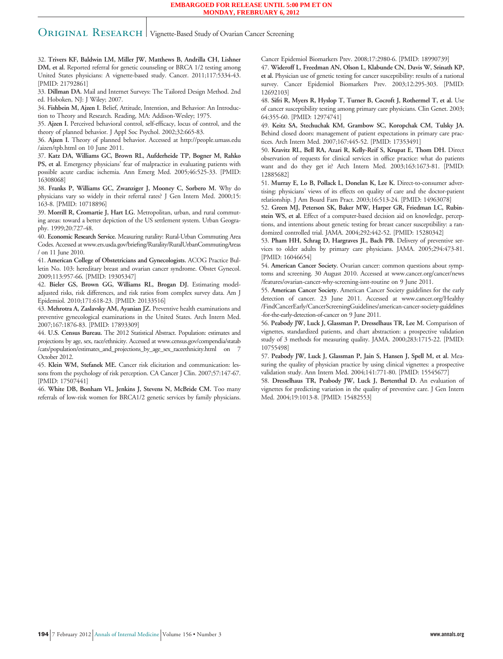### ORIGINAL RESEARCH | Vignette-Based Study of Ovarian Cancer Screening

32. **Trivers KF, Baldwin LM, Miller JW, Matthews B, Andrilla CH, Lishner DM, et al.** Reported referral for genetic counseling or BRCA 1/2 testing among United States physicians: A vignette-based study. Cancer. 2011;117:5334-43. [PMID: 21792861]

33. **Dillman DA.** Mail and Internet Surveys: The Tailored Design Method. 2nd ed. Hoboken, NJ: J Wiley; 2007.

34. **Fishbein M, Ajzen I.** Belief, Attitude, Intention, and Behavior: An Introduction to Theory and Research. Reading, MA: Addison-Wesley; 1975.

35. **Ajzen I.** Perceived behavioral control, self-efficacy, locus of control, and the theory of planned behavior. J Appl Soc Psychol. 2002;32:665-83.

36. **Ajzen I.** Theory of planned behavior. Accessed at http://people.umass.edu /aizen/tpb.html on 10 June 2011.

37. **Katz DA, Williams GC, Brown RL, Aufderheide TP, Bogner M, Rahko PS, et al.** Emergency physicians' fear of malpractice in evaluating patients with possible acute cardiac ischemia. Ann Emerg Med. 2005;46:525-33. [PMID: 16308068]

38. **Franks P, Williams GC, Zwanziger J, Mooney C, Sorbero M.** Why do physicians vary so widely in their referral rates? J Gen Intern Med. 2000;15: 163-8. [PMID: 10718896]

39. **Morrill R, Cromartie J, Hart LG.** Metropolitan, urban, and rural commuting areas: toward a better depiction of the US settlement system. Urban Geography. 1999;20:727-48.

40. **Economic Research Service.** Measuring rurality: Rural-Urban Commuting Area Codes. Accessed at www.ers.usda.gov/briefing/Rurality/RuralUrbanCommutingAreas / on 11 June 2010.

41. **American College of Obstetricians and Gynecologists.** ACOG Practice Bulletin No. 103: hereditary breast and ovarian cancer syndrome. Obstet Gynecol. 2009;113:957-66. [PMID: 19305347]

42. **Bieler GS, Brown GG, Williams RL, Brogan DJ.** Estimating modeladjusted risks, risk differences, and risk ratios from complex survey data. Am J Epidemiol. 2010;171:618-23. [PMID: 20133516]

43. **Mehrotra A, Zaslavsky AM, Ayanian JZ.** Preventive health examinations and preventive gynecological examinations in the United States. Arch Intern Med. 2007;167:1876-83. [PMID: 17893309]

44. **U.S. Census Bureau.** The 2012 Statistical Abstract. Population: estimates and projections by age, sex, race/ethnicity. Accessed at www.census.gov/compendia/statab /cats/population/estimates\_and\_projections\_by\_age\_sex\_raceethnicity.html on 7 October 2012.

45. **Klein WM, Stefanek ME.** Cancer risk elicitation and communication: lessons from the psychology of risk perception. CA Cancer J Clin. 2007;57:147-67. [PMID: 17507441]

46. **White DB, Bonham VL, Jenkins J, Stevens N, McBride CM.** Too many referrals of low-risk women for BRCA1/2 genetic services by family physicians. Cancer Epidemiol Biomarkers Prev. 2008;17:2980-6. [PMID: 18990739]

47. **Wideroff L, Freedman AN, Olson L, Klabunde CN, Davis W, Srinath KP, et al.** Physician use of genetic testing for cancer susceptibility: results of a national survey. Cancer Epidemiol Biomarkers Prev. 2003;12:295-303. [PMID: 12692103]

48. **Sifri R, Myers R, Hyslop T, Turner B, Cocroft J, Rothermel T, et al.** Use of cancer susceptibility testing among primary care physicians. Clin Genet. 2003; 64:355-60. [PMID: 12974741]

49. **Keitz SA, Stechuchak KM, Grambow SC, Koropchak CM, Tulsky JA.** Behind closed doors: management of patient expectations in primary care practices. Arch Intern Med. 2007;167:445-52. [PMID: 17353491]

50. **Kravitz RL, Bell RA, Azari R, Kelly-Reif S, Krupat E, Thom DH.** Direct observation of requests for clinical services in office practice: what do patients want and do they get it? Arch Intern Med. 2003;163:1673-81. [PMID: 12885682]

51. **Murray E, Lo B, Pollack L, Donelan K, Lee K.** Direct-to-consumer advertising: physicians' views of its effects on quality of care and the doctor-patient relationship. J Am Board Fam Pract. 2003;16:513-24. [PMID: 14963078]

52. **Green MJ, Peterson SK, Baker MW, Harper GR, Friedman LC, Rubinstein WS, et al.** Effect of a computer-based decision aid on knowledge, perceptions, and intentions about genetic testing for breast cancer susceptibility: a randomized controlled trial. JAMA. 2004;292:442-52. [PMID: 15280342]

53. **Pham HH, Schrag D, Hargraves JL, Bach PB.** Delivery of preventive services to older adults by primary care physicians. JAMA. 2005;294:473-81. [PMID: 16046654]

54. **American Cancer Society.** Ovarian cancer: common questions about symptoms and screening. 30 August 2010. Accessed at www.cancer.org/cancer/news /features/ovarian-cancer-why-screening-isnt-routine on 9 June 2011.

55. **American Cancer Society.** American Cancer Society guidelines for the early detection of cancer. 23 June 2011. Accessed at www.cancer.org/Healthy /FindCancerEarly/CancerScreeningGuidelines/american-cancer-society-guidelines -for-the-early-detection-of-cancer on 9 June 2011.

56. **Peabody JW, Luck J, Glassman P, Dresselhaus TR, Lee M.** Comparison of vignettes, standardized patients, and chart abstraction: a prospective validation study of 3 methods for measuring quality. JAMA. 2000;283:1715-22. [PMID: 10755498]

57. **Peabody JW, Luck J, Glassman P, Jain S, Hansen J, Spell M, et al.** Measuring the quality of physician practice by using clinical vignettes: a prospective validation study. Ann Intern Med. 2004;141:771-80. [PMID: 15545677]

58. **Dresselhaus TR, Peabody JW, Luck J, Bertenthal D.** An evaluation of vignettes for predicting variation in the quality of preventive care. J Gen Intern Med. 2004;19:1013-8. [PMID: 15482553]